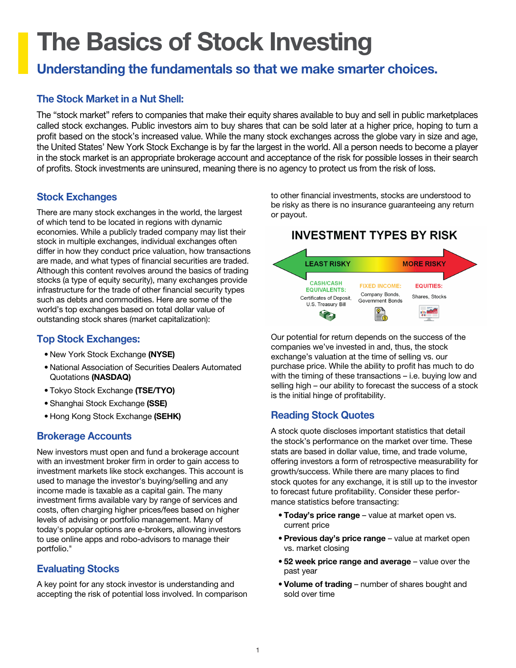# The Basics of Stock Investing

## Understanding the fundamentals so that we make smarter choices.

#### The Stock Market in a Nut Shell:

The "stock market" refers to companies that make their equity shares available to buy and sell in public marketplaces called stock exchanges. Public investors aim to buy shares that can be sold later at a higher price, hoping to turn a profit based on the stock's increased value. While the many stock exchanges across the globe vary in size and age, the United States' New York Stock Exchange is by far the largest in the world. All a person needs to become a player in the stock market is an appropriate brokerage account and acceptance of the risk for possible losses in their search of profits. Stock investments are uninsured, meaning there is no agency to protect us from the risk of loss.

#### Stock Exchanges

There are many stock exchanges in the world, the largest of which tend to be located in regions with dynamic economies. While a publicly traded company may list their stock in multiple exchanges, individual exchanges often differ in how they conduct price valuation, how transactions are made, and what types of financial securities are traded. Although this content revolves around the basics of trading stocks (a type of equity security), many exchanges provide infrastructure for the trade of other financial security types such as debts and commodities. Here are some of the world's top exchanges based on total dollar value of outstanding stock shares (market capitalization):

#### Top Stock Exchanges:

- New York Stock Exchange (NYSE)
- National Association of Securities Dealers Automated Quotations (NASDAQ)
- Tokyo Stock Exchange (TSE/TYO)
- Shanghai Stock Exchange (SSE)
- Hong Kong Stock Exchange (SEHK)

#### Brokerage Accounts

New investors must open and fund a brokerage account with an investment broker firm in order to gain access to investment markets like stock exchanges. This account is used to manage the investor's buying/selling and any income made is taxable as a capital gain. The many investment firms available vary by range of services and costs, often charging higher prices/fees based on higher levels of advising or portfolio management. Many of today's popular options are e-brokers, allowing investors to use online apps and robo-advisors to manage their portfolio."

#### Evaluating Stocks

A key point for any stock investor is understanding and accepting the risk of potential loss involved. In comparison to other financial investments, stocks are understood to be risky as there is no insurance guaranteeing any return or payout.

### **INVESTMENT TYPES BY RISK**



Our potential for return depends on the success of the companies we've invested in and, thus, the stock exchange's valuation at the time of selling vs. our purchase price. While the ability to profit has much to do with the timing of these transactions – i.e. buying low and selling high – our ability to forecast the success of a stock is the initial hinge of profitability.

#### Reading Stock Quotes

A stock quote discloses important statistics that detail the stock's performance on the market over time. These stats are based in dollar value, time, and trade volume, offering investors a form of retrospective measurability for growth/success. While there are many places to find stock quotes for any exchange, it is still up to the investor to forecast future profitability. Consider these performance statistics before transacting:

- Today's price range value at market open vs. current price
- Previous day's price range value at market open vs. market closing
- 52 week price range and average value over the past year
- Volume of trading number of shares bought and sold over time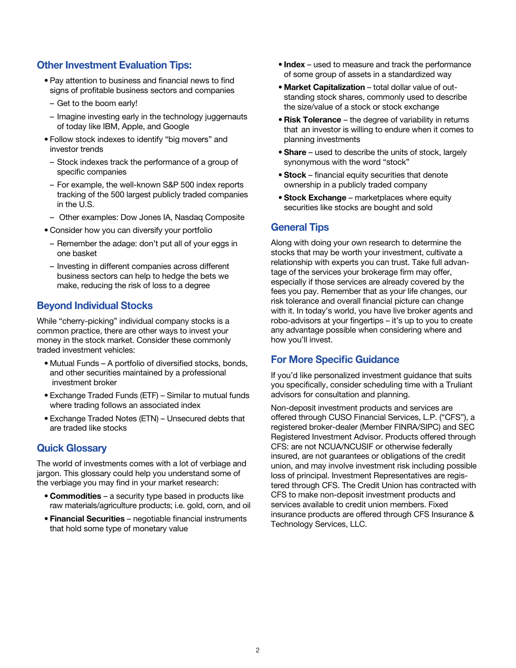#### Other Investment Evaluation Tips:

- Pay attention to business and financial news to find signs of profitable business sectors and companies
- Get to the boom early!
- Imagine investing early in the technology juggernauts of today like IBM, Apple, and Google
- Follow stock indexes to identify "big movers" and investor trends
- Stock indexes track the performance of a group of specific companies
- For example, the well-known S&P 500 index reports tracking of the 500 largest publicly traded companies in the U.S.
- Other examples: Dow Jones IA, Nasdaq Composite
- Consider how you can diversify your portfolio
- Remember the adage: don't put all of your eggs in one basket
- Investing in different companies across different business sectors can help to hedge the bets we make, reducing the risk of loss to a degree

#### Beyond Individual Stocks

While "cherry-picking" individual company stocks is a common practice, there are other ways to invest your money in the stock market. Consider these commonly traded investment vehicles:

- Mutual Funds A portfolio of diversified stocks, bonds, and other securities maintained by a professional investment broker
- Exchange Traded Funds (ETF) Similar to mutual funds where trading follows an associated index
- Exchange Traded Notes (ETN) Unsecured debts that are traded like stocks

#### Quick Glossary

The world of investments comes with a lot of verbiage and jargon. This glossary could help you understand some of the verbiage you may find in your market research:

- Commodities a security type based in products like raw materials/agriculture products; i.e. gold, corn, and oil
- Financial Securities negotiable financial instruments that hold some type of monetary value
- Index used to measure and track the performance of some group of assets in a standardized way
- Market Capitalization total dollar value of out standing stock shares, commonly used to describe the size/value of a stock or stock exchange
- Risk Tolerance the degree of variability in returns that an investor is willing to endure when it comes to planning investments
- Share used to describe the units of stock, largely synonymous with the word "stock"
- Stock financial equity securities that denote ownership in a publicly traded company
- Stock Exchange marketplaces where equity securities like stocks are bought and sold

#### General Tips

Along with doing your own research to determine the stocks that may be worth your investment, cultivate a relationship with experts you can trust. Take full advantage of the services your brokerage firm may offer, especially if those services are already covered by the fees you pay. Remember that as your life changes, our risk tolerance and overall financial picture can change with it. In today's world, you have live broker agents and robo-advisors at your fingertips – it's up to you to create any advantage possible when considering where and how you'll invest.

#### For More Specific Guidance

If you'd like personalized investment guidance that suits you specifically, consider scheduling time with a Truliant advisors for consultation and planning.

Non-deposit investment products and services are offered through CUSO Financial Services, L.P. ("CFS"), a registered broker-dealer (Member FINRA/SIPC) and SEC Registered Investment Advisor. Products offered through CFS: are not NCUA/NCUSIF or otherwise federally insured, are not guarantees or obligations of the credit union, and may involve investment risk including possible loss of principal. Investment Representatives are registered through CFS. The Credit Union has contracted with CFS to make non-deposit investment products and services available to credit union members. Fixed insurance products are offered through CFS Insurance & Technology Services, LLC.